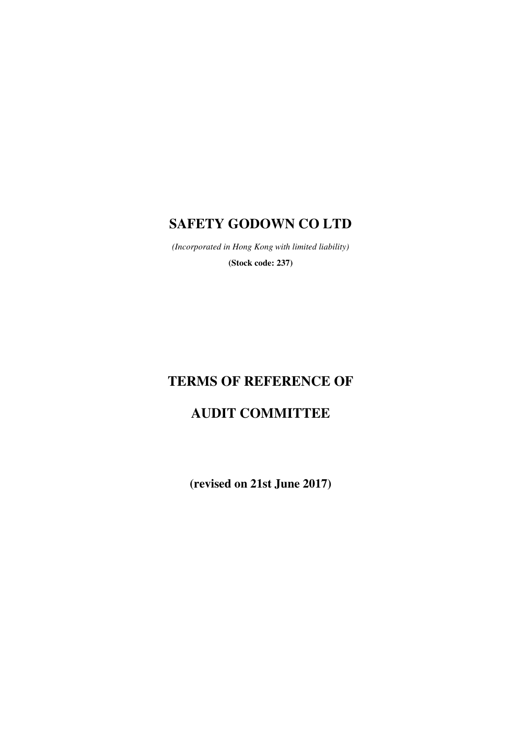## **SAFETY GODOWN CO LTD**

*(Incorporated in Hong Kong with limited liability)*  **(Stock code: 237)** 

# **TERMS OF REFERENCE OF**

# **AUDIT COMMITTEE**

**(revised on 21st June 2017)**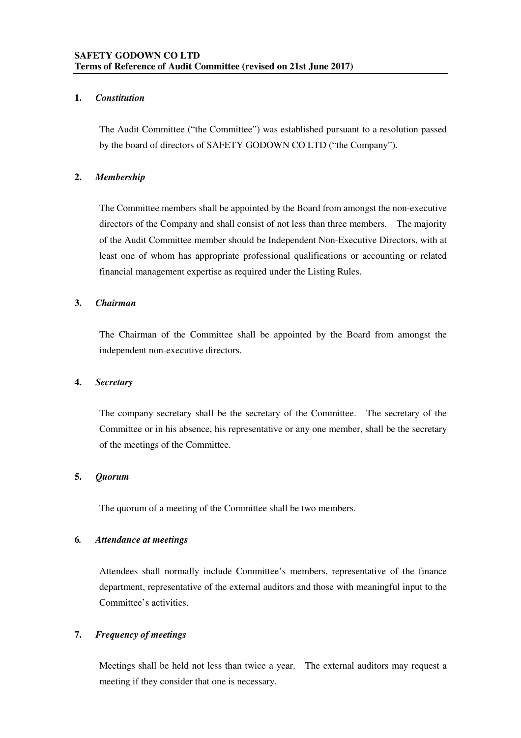## **1.** *Constitution*

The Audit Committee ("the Committee") was established pursuant to a resolution passed by the board of directors of SAFETY GODOWN CO LTD ("the Company").

## **2.** *Membership*

The Committee members shall be appointed by the Board from amongst the non-executive directors of the Company and shall consist of not less than three members. The majority of the Audit Committee member should be Independent Non-Executive Directors, with at least one of whom has appropriate professional qualifications or accounting or related financial management expertise as required under the Listing Rules.

## **3.** *Chairman*

The Chairman of the Committee shall be appointed by the Board from amongst the independent non-executive directors.

## **4.** *Secretary*

The company secretary shall be the secretary of the Committee. The secretary of the Committee or in his absence, his representative or any one member, shall be the secretary of the meetings of the Committee.

## **5.** *Quorum*

The quorum of a meeting of the Committee shall be two members.

## **6***. Attendance at meetings*

Attendees shall normally include Committee's members, representative of the finance department, representative of the external auditors and those with meaningful input to the Committee's activities.

## **7.** *Frequency of meetings*

Meetings shall be held not less than twice a year. The external auditors may request a meeting if they consider that one is necessary.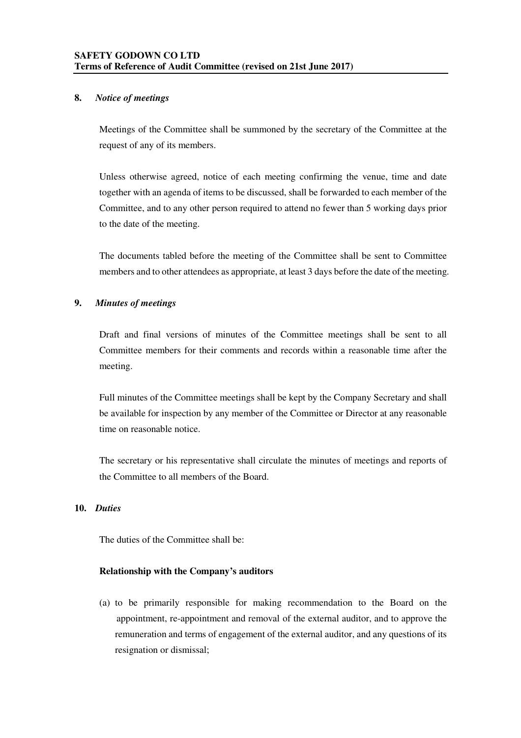## **8.** *Notice of meetings*

Meetings of the Committee shall be summoned by the secretary of the Committee at the request of any of its members.

Unless otherwise agreed, notice of each meeting confirming the venue, time and date together with an agenda of items to be discussed, shall be forwarded to each member of the Committee, and to any other person required to attend no fewer than 5 working days prior to the date of the meeting.

The documents tabled before the meeting of the Committee shall be sent to Committee members and to other attendees as appropriate, at least 3 days before the date of the meeting.

## **9.** *Minutes of meetings*

Draft and final versions of minutes of the Committee meetings shall be sent to all Committee members for their comments and records within a reasonable time after the meeting.

Full minutes of the Committee meetings shall be kept by the Company Secretary and shall be available for inspection by any member of the Committee or Director at any reasonable time on reasonable notice.

The secretary or his representative shall circulate the minutes of meetings and reports of the Committee to all members of the Board.

## **10.** *Duties*

The duties of the Committee shall be:

## **Relationship with the Company's auditors**

(a) to be primarily responsible for making recommendation to the Board on the appointment, re-appointment and removal of the external auditor, and to approve the remuneration and terms of engagement of the external auditor, and any questions of its resignation or dismissal;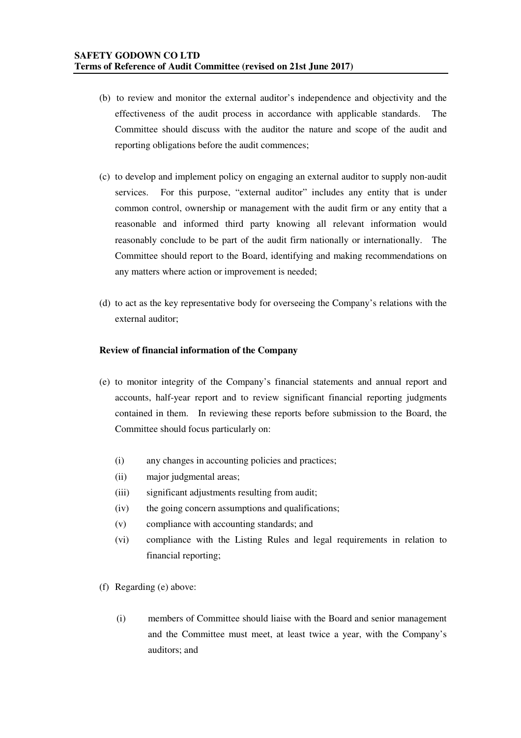- (b) to review and monitor the external auditor's independence and objectivity and the effectiveness of the audit process in accordance with applicable standards. The Committee should discuss with the auditor the nature and scope of the audit and reporting obligations before the audit commences;
- (c) to develop and implement policy on engaging an external auditor to supply non-audit services. For this purpose, "external auditor" includes any entity that is under common control, ownership or management with the audit firm or any entity that a reasonable and informed third party knowing all relevant information would reasonably conclude to be part of the audit firm nationally or internationally. The Committee should report to the Board, identifying and making recommendations on any matters where action or improvement is needed;
- (d) to act as the key representative body for overseeing the Company's relations with the external auditor;

## **Review of financial information of the Company**

- (e) to monitor integrity of the Company's financial statements and annual report and accounts, half-year report and to review significant financial reporting judgments contained in them. In reviewing these reports before submission to the Board, the Committee should focus particularly on:
	- (i) any changes in accounting policies and practices;
	- (ii) major judgmental areas;
	- (iii) significant adjustments resulting from audit;
	- (iv) the going concern assumptions and qualifications;
	- (v) compliance with accounting standards; and
	- (vi) compliance with the Listing Rules and legal requirements in relation to financial reporting;
- (f) Regarding (e) above:
	- (i) members of Committee should liaise with the Board and senior management and the Committee must meet, at least twice a year, with the Company's auditors; and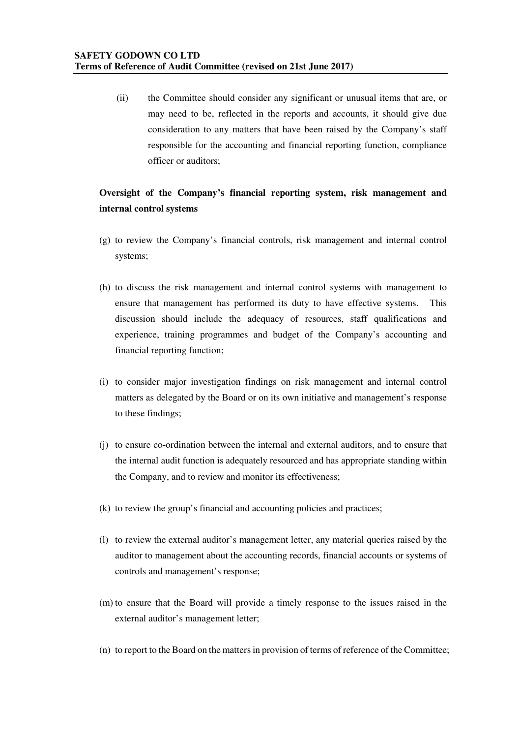(ii) the Committee should consider any significant or unusual items that are, or may need to be, reflected in the reports and accounts, it should give due consideration to any matters that have been raised by the Company's staff responsible for the accounting and financial reporting function, compliance officer or auditors;

## **Oversight of the Company's financial reporting system, risk management and internal control systems**

- (g) to review the Company's financial controls, risk management and internal control systems;
- (h) to discuss the risk management and internal control systems with management to ensure that management has performed its duty to have effective systems. This discussion should include the adequacy of resources, staff qualifications and experience, training programmes and budget of the Company's accounting and financial reporting function;
- (i) to consider major investigation findings on risk management and internal control matters as delegated by the Board or on its own initiative and management's response to these findings;
- (j) to ensure co-ordination between the internal and external auditors, and to ensure that the internal audit function is adequately resourced and has appropriate standing within the Company, and to review and monitor its effectiveness;
- (k) to review the group's financial and accounting policies and practices;
- (l) to review the external auditor's management letter, any material queries raised by the auditor to management about the accounting records, financial accounts or systems of controls and management's response;
- (m) to ensure that the Board will provide a timely response to the issues raised in the external auditor's management letter;
- (n) to report to the Board on the matters in provision of terms of reference of the Committee;